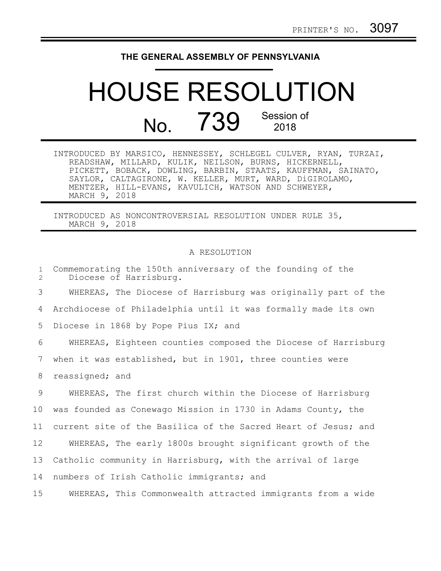## **THE GENERAL ASSEMBLY OF PENNSYLVANIA**

## HOUSE RESOLUTION No. 739 Session of 2018

|               | INTRODUCED BY MARSICO, HENNESSEY, SCHLEGEL CULVER, RYAN, TURZAI, |
|---------------|------------------------------------------------------------------|
|               | READSHAW, MILLARD, KULIK, NEILSON, BURNS, HICKERNELL,            |
|               | PICKETT, BOBACK, DOWLING, BARBIN, STAATS, KAUFFMAN, SAINATO,     |
|               | SAYLOR, CALTAGIRONE, W. KELLER, MURT, WARD, DiGIROLAMO,          |
|               | MENTZER, HILL-EVANS, KAVULICH, WATSON AND SCHWEYER,              |
| MARCH 9, 2018 |                                                                  |

INTRODUCED AS NONCONTROVERSIAL RESOLUTION UNDER RULE 35, MARCH 9, 2018

## A RESOLUTION

| $\mathbf{1}$<br>2 | Commemorating the 150th anniversary of the founding of the<br>Diocese of Harrisburg. |
|-------------------|--------------------------------------------------------------------------------------|
| 3                 | WHEREAS, The Diocese of Harrisburg was originally part of the                        |
| 4                 | Archdiocese of Philadelphia until it was formally made its own                       |
| 5                 | Diocese in 1868 by Pope Pius IX; and                                                 |
| 6                 | WHEREAS, Eighteen counties composed the Diocese of Harrisburg                        |
| 7                 | when it was established, but in 1901, three counties were                            |
| 8                 | reassigned; and                                                                      |
| 9                 | WHEREAS, The first church within the Diocese of Harrisburg                           |
| 10                | was founded as Conewago Mission in 1730 in Adams County, the                         |
| 11                | current site of the Basilica of the Sacred Heart of Jesus; and                       |
| 12                | WHEREAS, The early 1800s brought significant growth of the                           |
| 13                | Catholic community in Harrisburg, with the arrival of large                          |
| 14                | numbers of Irish Catholic immigrants; and                                            |
| 15                | WHEREAS, This Commonwealth attracted immigrants from a wide                          |